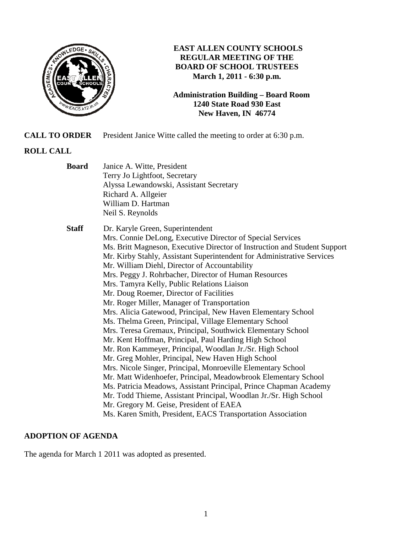

## **EAST ALLEN COUNTY SCHOOLS REGULAR MEETING OF THE BOARD OF SCHOOL TRUSTEES March 1, 2011 - 6:30 p.m.**

**Administration Building – Board Room 1240 State Road 930 East New Haven, IN 46774**

**CALL TO ORDER** President Janice Witte called the meeting to order at 6:30 p.m.

# **ROLL CALL**

| <b>Board</b> | Janice A. Witte, President<br>Terry Jo Lightfoot, Secretary<br>Alyssa Lewandowski, Assistant Secretary<br>Richard A. Allgeier<br>William D. Hartman<br>Neil S. Reynolds                                                                                                                                                                                                                                                                                                                                                                                                                                                                                                                                                                                                                                                                                                                                                                                                                                                                                                                                                                                                                                                                                           |
|--------------|-------------------------------------------------------------------------------------------------------------------------------------------------------------------------------------------------------------------------------------------------------------------------------------------------------------------------------------------------------------------------------------------------------------------------------------------------------------------------------------------------------------------------------------------------------------------------------------------------------------------------------------------------------------------------------------------------------------------------------------------------------------------------------------------------------------------------------------------------------------------------------------------------------------------------------------------------------------------------------------------------------------------------------------------------------------------------------------------------------------------------------------------------------------------------------------------------------------------------------------------------------------------|
| <b>Staff</b> | Dr. Karyle Green, Superintendent<br>Mrs. Connie DeLong, Executive Director of Special Services<br>Ms. Britt Magneson, Executive Director of Instruction and Student Support<br>Mr. Kirby Stahly, Assistant Superintendent for Administrative Services<br>Mr. William Diehl, Director of Accountability<br>Mrs. Peggy J. Rohrbacher, Director of Human Resources<br>Mrs. Tamyra Kelly, Public Relations Liaison<br>Mr. Doug Roemer, Director of Facilities<br>Mr. Roger Miller, Manager of Transportation<br>Mrs. Alicia Gatewood, Principal, New Haven Elementary School<br>Ms. Thelma Green, Principal, Village Elementary School<br>Mrs. Teresa Gremaux, Principal, Southwick Elementary School<br>Mr. Kent Hoffman, Principal, Paul Harding High School<br>Mr. Ron Kammeyer, Principal, Woodlan Jr./Sr. High School<br>Mr. Greg Mohler, Principal, New Haven High School<br>Mrs. Nicole Singer, Principal, Monroeville Elementary School<br>Mr. Matt Widenhoefer, Principal, Meadowbrook Elementary School<br>Ms. Patricia Meadows, Assistant Principal, Prince Chapman Academy<br>Mr. Todd Thieme, Assistant Principal, Woodlan Jr./Sr. High School<br>Mr. Gregory M. Geise, President of EAEA<br>Ms. Karen Smith, President, EACS Transportation Association |

### **ADOPTION OF AGENDA**

The agenda for March 1 2011 was adopted as presented.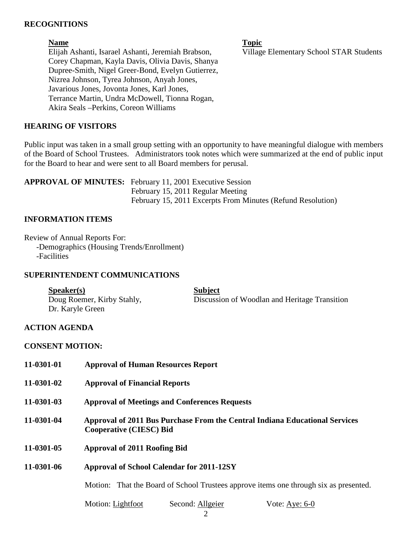### **RECOGNITIONS**

**Name** Topic **Name** Topic Elijah Ashanti, Isarael Ashanti, Jeremiah Brabson, Village Elementary School STAR Students Corey Chapman, Kayla Davis, Olivia Davis, Shanya Dupree-Smith, Nigel Greer-Bond, Evelyn Gutierrez, Nizrea Johnson, Tyrea Johnson, Anyah Jones, Javarious Jones, Jovonta Jones, Karl Jones, Terrance Martin, Undra McDowell, Tionna Rogan, Akira Seals –Perkins, Coreon Williams

#### **HEARING OF VISITORS**

Public input was taken in a small group setting with an opportunity to have meaningful dialogue with members of the Board of School Trustees. Administrators took notes which were summarized at the end of public input for the Board to hear and were sent to all Board members for perusal.

**APPROVAL OF MINUTES:** February 11, 2001 Executive Session February 15, 2011 Regular Meeting February 15, 2011 Excerpts From Minutes (Refund Resolution)

#### **INFORMATION ITEMS**

Review of Annual Reports For: -Demographics (Housing Trends/Enrollment) -Facilities

#### **SUPERINTENDENT COMMUNICATIONS**

| S <sub>p</sub> e <sub>aker(s)</sub> | <b>Subject</b>                                |
|-------------------------------------|-----------------------------------------------|
| Doug Roemer, Kirby Stahly,          | Discussion of Woodlan and Heritage Transition |
| Dr. Karyle Green                    |                                               |

### **ACTION AGENDA**

### **CONSENT MOTION:**

| 11-0301-01 | <b>Approval of Human Resources Report</b>                                                                     |
|------------|---------------------------------------------------------------------------------------------------------------|
| 11-0301-02 | <b>Approval of Financial Reports</b>                                                                          |
| 11-0301-03 | <b>Approval of Meetings and Conferences Requests</b>                                                          |
| 11-0301-04 | Approval of 2011 Bus Purchase From the Central Indiana Educational Services<br><b>Cooperative (CIESC) Bid</b> |
| 11-0301-05 | <b>Approval of 2011 Roofing Bid</b>                                                                           |
| 11-0301-06 | <b>Approval of School Calendar for 2011-12SY</b>                                                              |
|            | Motion: That the Board of School Trustees approve items one through six as presented.                         |
|            |                                                                                                               |

Motion: Lightfoot Second: Allgeier Vote: Aye: 6-0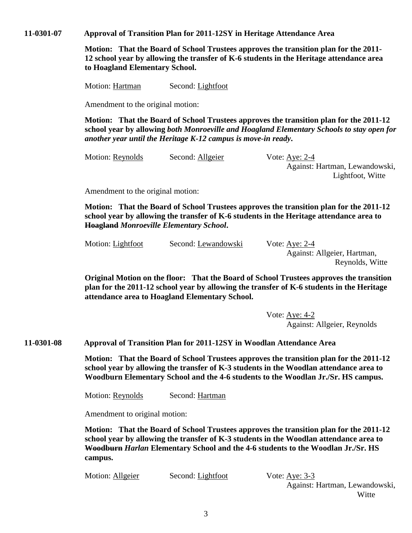**11-0301-07 Approval of Transition Plan for 2011-12SY in Heritage Attendance Area** 

**Motion: That the Board of School Trustees approves the transition plan for the 2011- 12 school year by allowing the transfer of K-6 students in the Heritage attendance area to Hoagland Elementary School.** 

Motion: Hartman Second: Lightfoot

Amendment to the original motion:

**Motion: That the Board of School Trustees approves the transition plan for the 2011-12 school year by allowing** *both Monroeville and Hoagland Elementary Schools to stay open for another year until the Heritage K-12 campus is move-in ready***.** 

Motion: Reynolds Second: Allgeier Vote: Aye: 2-4

 Against: Hartman, Lewandowski, Lightfoot, Witte

Amendment to the original motion:

**Motion: That the Board of School Trustees approves the transition plan for the 2011-12 school year by allowing the transfer of K-6 students in the Heritage attendance area to Hoagland** *Monroeville Elementary School***.** 

Motion: Lightfoot Second: Lewandowski Vote: Aye: 2-4

 Against: Allgeier, Hartman, Reynolds, Witte

**Original Motion on the floor: That the Board of School Trustees approves the transition plan for the 2011-12 school year by allowing the transfer of K-6 students in the Heritage attendance area to Hoagland Elementary School.** 

> Vote: Aye: 4-2 Against: Allgeier, Reynolds

**11-0301-08 Approval of Transition Plan for 2011-12SY in Woodlan Attendance Area**

**Motion: That the Board of School Trustees approves the transition plan for the 2011-12 school year by allowing the transfer of K-3 students in the Woodlan attendance area to Woodburn Elementary School and the 4-6 students to the Woodlan Jr./Sr. HS campus.**

Motion: Reynolds Second: Hartman

Amendment to original motion:

**Motion: That the Board of School Trustees approves the transition plan for the 2011-12 school year by allowing the transfer of K-3 students in the Woodlan attendance area to Woodburn** *Harlan* **Elementary School and the 4-6 students to the Woodlan Jr./Sr. HS campus.**

Motion: Allgeier Second: Lightfoot Vote: Aye: 3-3

Against: Hartman, Lewandowski, Witte